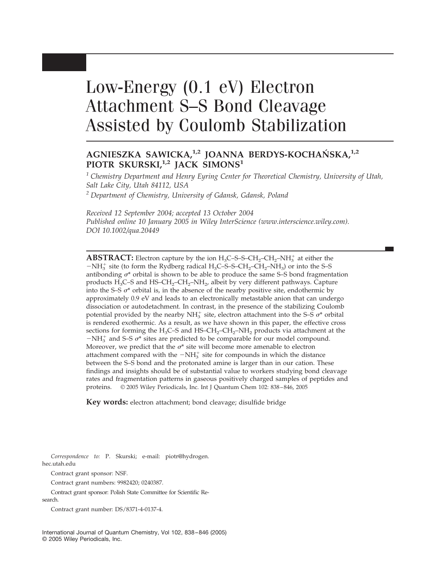# Low-Energy (0.1 eV) Electron Attachment S–S Bond Cleavage Assisted by Coulomb Stabilization

# **AGNIESZKA SAWICKA,1,2 JOANNA BERDYS-KOCHAN´ SKA,1,2 PIOTR SKURSKI,1,2 JACK SIMONS<sup>1</sup>**

*<sup>1</sup> Chemistry Department and Henry Eyring Center for Theoretical Chemistry, University of Utah, Salt Lake City, Utah 84112, USA*

*<sup>2</sup> Department of Chemistry, University of Gdansk, Gdansk, Poland*

*Received 12 September 2004; accepted 13 October 2004 Published online 10 January 2005 in Wiley InterScience (www.interscience.wiley.com). DOI 10.1002/qua.20449*

**ABSTRACT:** Electron capture by the ion  $H_3C$ -S-S-C $H_2$ -C $H_2$ -N $H_3^+$  at either the  $-NH_3^+$  site (to form the Rydberg radical H<sub>3</sub>C–S–S–CH<sub>2</sub>–CH<sub>2</sub>–NH<sub>3</sub>) or into the S–S antibonding  $\sigma^*$  orbital is shown to be able to produce the same S–S bond fragmentation products  $H_3C$ –S and  $HS$ – $CH_2$ – $CH_2$ – $NH_2$ , albeit by very different pathways. Capture into the S–S  $\sigma^*$  orbital is, in the absence of the nearby positive site, endothermic by approximately 0.9 eV and leads to an electronically metastable anion that can undergo dissociation or autodetachment. In contrast, in the presence of the stabilizing Coulomb potential provided by the nearby  $NH_3^+$  site, electron attachment into the S–S  $\sigma^*$  orbital is rendered exothermic. As a result, as we have shown in this paper, the effective cross sections for forming the  $H_3C$ –S and  $HS$ – $CH_2$ – $CH_2$ – $NH_2$  products via attachment at the  $-NH_3^+$  and S–S  $\sigma^*$  sites are predicted to be comparable for our model compound. Moreover, we predict that the  $\sigma^*$  site will become more amenable to electron attachment compared with the  $-NH_3^+$  site for compounds in which the distance between the S–S bond and the protonated amine is larger than in our cation. These findings and insights should be of substantial value to workers studying bond cleavage rates and fragmentation patterns in gaseous positively charged samples of peptides and proteins. © 2005 Wiley Periodicals, Inc. Int J Quantum Chem 102: 838 – 846, 2005

**Key words:** electron attachment; bond cleavage; disulfide bridge

*Correspondence to:* P. Skurski; e-mail: piotr@hydrogen. hec.utah.edu

Contract grant sponsor: NSF.

Contract grant numbers: 9982420; 0240387.

Contract grant sponsor: Polish State Committee for Scientific Research.

Contract grant number: DS/8371-4-0137-4.

International Journal of Quantum Chemistry, Vol 102, 838 – 846 (2005) © 2005 Wiley Periodicals, Inc.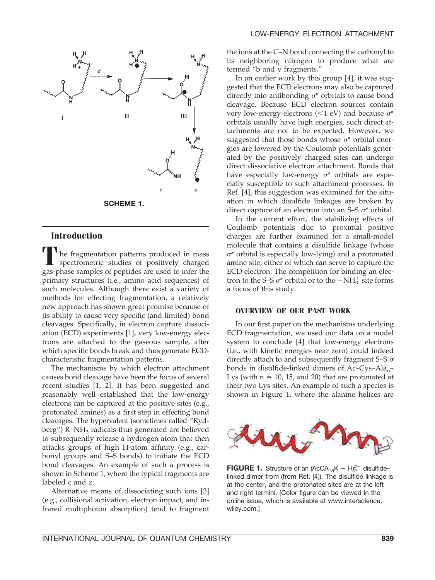

## **Introduction**

**T** he fragmentation patterns produced in mass spectrometric studies of positively charged gas-phase samples of peptides are used to infer the primary structures (i.e., amino acid sequences) of such molecules. Although there exist a variety of methods for effecting fragmentation, a relatively new approach has shown great promise because of its ability to cause very specific (and limited) bond cleavages. Specifically, in electron capture dissociation (ECD) experiments [1], very low-energy electrons are attached to the gaseous sample, after which specific bonds break and thus generate ECDcharacteristic fragmentation patterns.

The mechanisms by which electron attachment causes bond cleavage have been the focus of several recent studies [1, 2]. It has been suggested and reasonably well established that the low-energy electrons can be captured at the positive sites (e.g., protonated amines) as a first step in effecting bond cleavages. The hypervalent (sometimes called "Ryd $berg''$ ) R-NH<sub>3</sub> radicals thus generated are believed to subsequently release a hydrogen atom that then attacks groups of high H-atom affinity (e.g., carbonyl groups and S–S bonds) to initiate the ECD bond cleavages. An example of such a process is shown in Scheme 1, where the typical fragments are labeled c and z.

Alternative means of dissociating such ions [3] (e.g., collisional activation, electron impact, and infrared multiphoton absorption) tend to fragment the ions at the C–N bond connecting the carbonyl to its neighboring nitrogen to produce what are termed "b and y fragments."

In an earlier work by this group [4], it was suggested that the ECD electrons may also be captured directly into antibonding  $\sigma^*$  orbitals to cause bond cleavage. Because ECD electron sources contain very low-energy electrons ( $\leq 1$  eV) and because  $\sigma^*$ orbitals usually have high energies, such direct attachments are not to be expected. However, we suggested that those bonds whose  $\sigma^*$  orbital energies are lowered by the Coulomb potentials generated by the positively charged sites can undergo direct dissociative electron attachment. Bonds that have especially low-energy  $\sigma^*$  orbitals are especially susceptible to such attachment processes. In Ref. [4], this suggestion was examined for the situation in which disulfide linkages are broken by direct capture of an electron into an S–S  $\sigma^*$  orbital.

In the current effort, the stabilizing effects of Coulomb potentials due to proximal positive charges are further examined for a small-model molecule that contains a disulfide linkage (whose  $\sigma^*$  orbital is especially low-lying) and a protonated amine site, either of which can serve to capture the ECD electron. The competition for binding an electron to the S–S  $\sigma^*$  orbital or to the  $-NH_3^+$  site forms a focus of this study.

## **OVERVIEW OF OUR PAST WORK**

In our first paper on the mechanisms underlying ECD fragmentation, we used our data on a model system to conclude [4] that low-energy electrons (i.e., with kinetic energies near zero) could indeed directly attach to and subsequently fragment S–S  $\sigma$ bonds in disulfide-linked dimers of  $Ac-Cys-Ala_n-$ Lys (with  $n = 10$ , 15, and 20) that are protonated at their two Lys sites. An example of such a species is shown in Figure 1, where the alanine helices are



**FIGURE 1.** Structure of an  $(AccA_{15}K + H)_2^{2+}$  disulfidelinked dimer from (from Ref. [4]). The disulfide linkage is at the center, and the protonated sites are at the left and right termini. [Color figure can be viewed in the online issue, which is available at www.interscience. wiley.com.]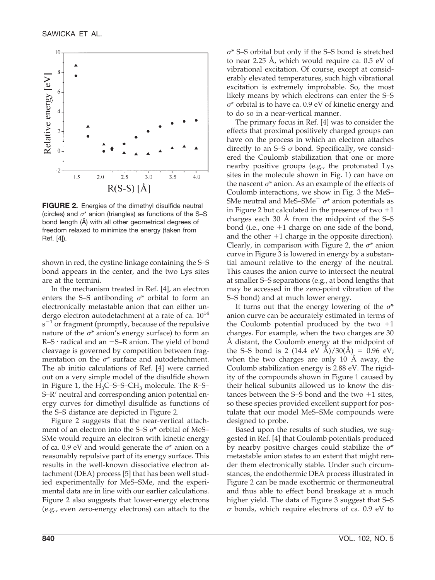

**FIGURE 2.** Energies of the dimethyl disulfide neutral (circles) and  $\sigma^*$  anion (triangles) as functions of the S-S bond length (Å) with all other geometrical degrees of freedom relaxed to minimize the energy (taken from Ref. [4]).

shown in red, the cystine linkage containing the S–S bond appears in the center, and the two Lys sites are at the termini.

In the mechanism treated in Ref. [4], an electron enters the S–S antibonding  $\sigma^*$  orbital to form an electronically metastable anion that can either undergo electron autodetachment at a rate of ca.  $10^{14}$  $s^{-1}$  or fragment (promptly, because of the repulsive nature of the  $\sigma^*$  anion's energy surface) to form an R–S radical and an -S–R anion. The yield of bond cleavage is governed by competition between fragmentation on the  $\sigma^*$  surface and autodetachment. The ab initio calculations of Ref. [4] were carried out on a very simple model of the disulfide shown in Figure 1, the  $H_3C$ –S–S–C $H_3$  molecule. The R–S– S-R' neutral and corresponding anion potential energy curves for dimethyl disulfide as functions of the S–S distance are depicted in Figure 2.

Figure 2 suggests that the near-vertical attachment of an electron into the S–S  $\sigma^*$  orbital of MeS– SMe would require an electron with kinetic energy of ca. 0.9 eV and would generate the  $\sigma^*$  anion on a reasonably repulsive part of its energy surface. This results in the well-known dissociative electron attachment (DEA) process [5] that has been well studied experimentally for MeS–SMe, and the experimental data are in line with our earlier calculations. Figure 2 also suggests that lower-energy electrons (e.g., even zero-energy electrons) can attach to the

 $\sigma^*$  S–S orbital but only if the S–S bond is stretched to near 2.25 Å, which would require ca. 0.5 eV of vibrational excitation. Of course, except at considerably elevated temperatures, such high vibrational excitation is extremely improbable. So, the most likely means by which electrons can enter the S–S  $\sigma^*$  orbital is to have ca. 0.9 eV of kinetic energy and to do so in a near-vertical manner.

The primary focus in Ref. [4] was to consider the effects that proximal positively charged groups can have on the process in which an electron attaches directly to an S–S  $\sigma$  bond. Specifically, we considered the Coulomb stabilization that one or more nearby positive groups (e.g., the protonated Lys sites in the molecule shown in Fig. 1) can have on the nascent  $\sigma^*$  anion. As an example of the effects of Coulomb interactions, we show in Fig. 3 the MeS– SMe neutral and MeS–SMe<sup> $-$ </sup>  $\sigma^*$  anion potentials as in Figure 2 but calculated in the presence of two  $+1$ charges each 30 Å from the midpoint of the S–S bond (i.e., one  $+1$  charge on one side of the bond, and the other  $+1$  charge in the opposite direction). Clearly, in comparison with Figure 2, the  $\sigma^*$  anion curve in Figure 3 is lowered in energy by a substantial amount relative to the energy of the neutral. This causes the anion curve to intersect the neutral at smaller S–S separations (e.g., at bond lengths that may be accessed in the zero-point vibration of the S–S bond) and at much lower energy.

It turns out that the energy lowering of the  $\sigma^*$ anion curve can be accurately estimated in terms of the Coulomb potential produced by the two  $+1$ charges. For example, when the two charges are 30 Å distant, the Coulomb energy at the midpoint of the S–S bond is 2 (14.4 eV Å)/30(Å) = 0.96 eV; when the two charges are only 10 Å away, the Coulomb stabilization energy is 2.88 eV. The rigidity of the compounds shown in Figure 1 caused by their helical subunits allowed us to know the distances between the S–S bond and the two  $+1$  sites, so these species provided excellent support for postulate that our model MeS–SMe compounds were designed to probe.

Based upon the results of such studies, we suggested in Ref. [4] that Coulomb potentials produced by nearby positive charges could stabilize the  $\sigma^*$ metastable anion states to an extent that might render them electronically stable. Under such circumstances, the endothermic DEA process illustrated in Figure 2 can be made exothermic or thermoneutral and thus able to effect bond breakage at a much higher yield. The data of Figure 3 suggest that S–S  $\sigma$  bonds, which require electrons of ca. 0.9 eV to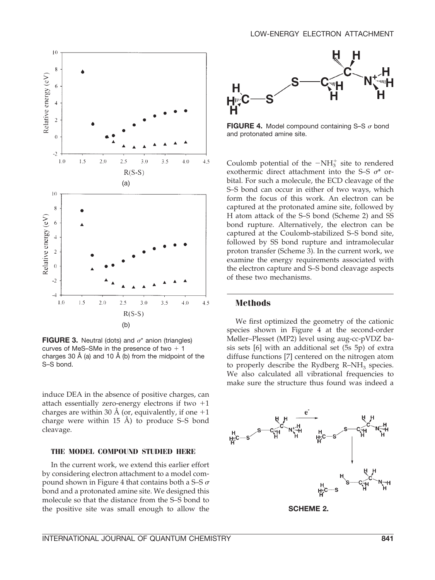

**FIGURE 3.** Neutral (dots) and  $\sigma^*$  anion (triangles) curves of MeS–SMe in the presence of two  $+1$ charges 30 Å (a) and 10 Å (b) from the midpoint of the S–S bond.

induce DEA in the absence of positive charges, can attach essentially zero-energy electrons if two  $+1$ charges are within 30 Å (or, equivalently, if one  $+1$ charge were within 15 Å) to produce S–S bond cleavage.

### **THE MODEL COMPOUND STUDIED HERE**

In the current work, we extend this earlier effort by considering electron attachment to a model compound shown in Figure 4 that contains both a S–S  $\sigma$ bond and a protonated amine site. We designed this molecule so that the distance from the S–S bond to the positive site was small enough to allow the



**FIGURE 4.** Model compound containing S-S  $\sigma$  bond and protonated amine site.

Coulomb potential of the  $-NH_3^+$  site to rendered exothermic direct attachment into the S–S  $\sigma^*$  orbital. For such a molecule, the ECD cleavage of the S–S bond can occur in either of two ways, which form the focus of this work. An electron can be captured at the protonated amine site, followed by H atom attack of the S–S bond (Scheme 2) and SS bond rupture. Alternatively, the electron can be captured at the Coulomb-stabilized S–S bond site, followed by SS bond rupture and intramolecular proton transfer (Scheme 3). In the current work, we examine the energy requirements associated with the electron capture and S–S bond cleavage aspects of these two mechanisms.

## **Methods**

We first optimized the geometry of the cationic species shown in Figure 4 at the second-order Møller–Plesset (MP2) level using aug-cc-pVDZ basis sets [6] with an additional set (5s 5p) of extra diffuse functions [7] centered on the nitrogen atom to properly describe the Rydberg  $R-NH<sub>3</sub>$  species. We also calculated all vibrational frequencies to make sure the structure thus found was indeed a

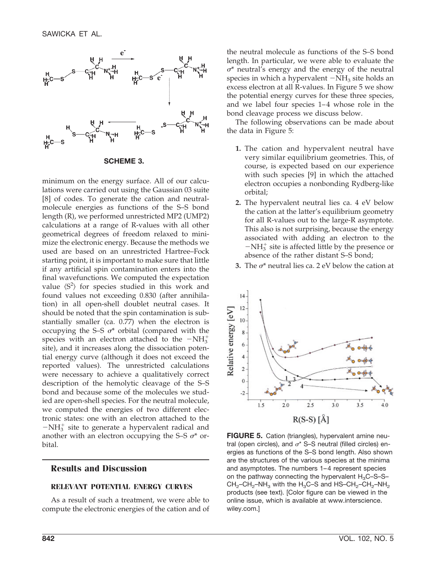

**SCHEME 3.**

minimum on the energy surface. All of our calculations were carried out using the Gaussian 03 suite [8] of codes. To generate the cation and neutralmolecule energies as functions of the S–S bond length (R), we performed unrestricted MP2 (UMP2) calculations at a range of R-values with all other geometrical degrees of freedom relaxed to minimize the electronic energy. Because the methods we used are based on an unrestricted Hartree–Fock starting point, it is important to make sure that little if any artificial spin contamination enters into the final wavefunctions. We computed the expectation value  $\langle S^2 \rangle$  for species studied in this work and found values not exceeding 0.830 (after annihilation) in all open-shell doublet neutral cases. It should be noted that the spin contamination is substantially smaller (ca. 0.77) when the electron is occupying the S–S  $\sigma^*$  orbital (compared with the species with an electron attached to the  $-NH_3^+$ site), and it increases along the dissociation potential energy curve (although it does not exceed the reported values). The unrestricted calculations were necessary to achieve a qualitatively correct description of the hemolytic cleavage of the S–S bond and because some of the molecules we studied are open-shell species. For the neutral molecule, we computed the energies of two different electronic states: one with an electron attached to the  $-NH_3^+$  site to generate a hypervalent radical and another with an electron occupying the S–S  $\sigma^*$  orbital.

## **Results and Discussion**

## **RELEVANT POTENTIAL ENERGY CURVES**

As a result of such a treatment, we were able to compute the electronic energies of the cation and of the neutral molecule as functions of the S–S bond length. In particular, we were able to evaluate the  $\sigma^*$  neutral's energy and the energy of the neutral species in which a hypervalent  $-\mathrm{NH}_3$  site holds an excess electron at all R-values. In Figure 5 we show the potential energy curves for these three species, and we label four species  $1-4$  whose role in the bond cleavage process we discuss below.

The following observations can be made about the data in Figure 5:

- **1.** The cation and hypervalent neutral have very similar equilibrium geometries. This, of course, is expected based on our experience with such species [9] in which the attached electron occupies a nonbonding Rydberg-like orbital;
- **2.** The hypervalent neutral lies ca. 4 eV below the cation at the latter's equilibrium geometry for all R-values out to the large-R asymptote. This also is not surprising, because the energy associated with adding an electron to the  $-NH_3^+$  site is affected little by the presence or absence of the rather distant S–S bond;
- **3.** The  $\sigma^*$  neutral lies ca. 2 eV below the cation at



**FIGURE 5.** Cation (triangles), hypervalent amine neutral (open circles), and  $\sigma^*$  S–S neutral (filled circles) energies as functions of the S–S bond length. Also shown are the structures of the various species at the minima and asymptotes. The numbers 1-4 represent species on the pathway connecting the hypervalent  $H_3C$ –S–S–  $CH<sub>2</sub>-CH<sub>2</sub>-NH<sub>3</sub>$  with the H<sub>3</sub>C–S and HS–CH<sub>2</sub>–CH<sub>2</sub>–NH<sub>2</sub> products (see text). [Color figure can be viewed in the online issue, which is available at www.interscience. wiley.com.]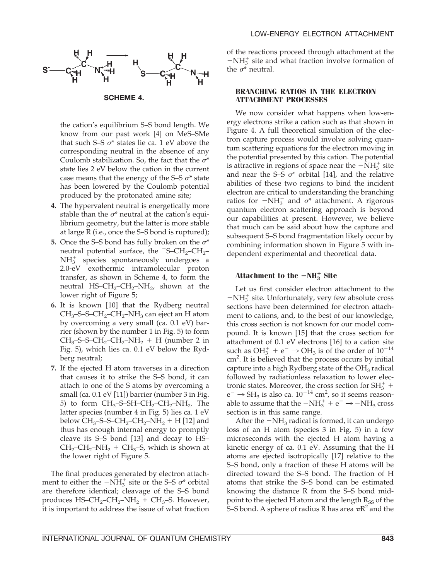

the cation's equilibrium S–S bond length. We know from our past work [4] on MeS–SMe that such S–S  $\sigma^*$  states lie ca. 1 eV above the corresponding neutral in the absence of any Coulomb stabilization. So, the fact that the  $\sigma^*$ state lies 2 eV below the cation in the current case means that the energy of the S–S  $\sigma^*$  state has been lowered by the Coulomb potential produced by the protonated amine site;

- **4.** The hypervalent neutral is energetically more stable than the  $\sigma^*$  neutral at the cation's equilibrium geometry, but the latter is more stable at large R (i.e., once the S–S bond is ruptured);
- **5.** Once the S–S bond has fully broken on the  $\sigma^*$ neutral potential surface, the  $-S-CH_2-CH_2$ NH<sub>3</sub> species spontaneously undergoes a 2.0-eV exothermic intramolecular proton transfer, as shown in Scheme 4, to form the neutral HS–CH<sub>2</sub>–CH<sub>2</sub>–NH<sub>2</sub>, shown at the lower right of Figure 5;
- **6.** It is known [10] that the Rydberg neutral  $CH_3$ –S–S–CH<sub>2</sub>–CH<sub>2</sub>–NH<sub>3</sub> can eject an H atom by overcoming a very small (ca. 0.1 eV) barrier (shown by the number 1 in Fig. 5) to form  $CH_3$ -S-S-CH<sub>2</sub>-CH<sub>2</sub>-NH<sub>2</sub> + H (number 2 in Fig. 5), which lies ca. 0.1 eV below the Rydberg neutral;
- **7.** If the ejected H atom traverses in a direction that causes it to strike the S–S bond, it can attach to one of the S atoms by overcoming a small (ca. 0.1 eV [11]) barrier (number 3 in Fig. 5) to form  $CH_3$ –S–SH–CH<sub>2</sub>–CH<sub>2</sub>–NH<sub>2</sub>. The latter species (number 4 in Fig. 5) lies ca. 1 eV below  $CH_3$ –S–S–CH<sub>2</sub>–CH<sub>2</sub>–NH<sub>2</sub> + H [12] and thus has enough internal energy to promptly cleave its S–S bond [13] and decay to HS–  $CH_2$ –CH<sub>2</sub>–NH<sub>2</sub> + CH<sub>3</sub>–S, which is shown at the lower right of Figure 5.

The final produces generated by electron attachment to either the  $-NH_3^+$  site or the S–S  $\sigma^*$  orbital are therefore identical; cleavage of the S–S bond produces  $HS$ – $CH_2$ – $CH_2$ – $NH_2$  +  $CH_3$ – $S$ . However, it is important to address the issue of what fraction of the reactions proceed through attachment at the  $-NH_3^+$  site and what fraction involve formation of the  $\sigma^*$  neutral.

## **BRANCHING RATIOS IN THE ELECTRON ATTACHMENT PROCESSES**

We now consider what happens when low-energy electrons strike a cation such as that shown in Figure 4. A full theoretical simulation of the electron capture process would involve solving quantum scattering equations for the electron moving in the potential presented by this cation. The potential is attractive in regions of space near the  $-\text{NH}_3^+$  site and near the S–S  $\sigma^*$  orbital [14], and the relative abilities of these two regions to bind the incident electron are critical to understanding the branching ratios for  $-NH_3^+$  and  $\sigma^*$  attachment. A rigorous quantum electron scattering approach is beyond our capabilities at present. However, we believe that much can be said about how the capture and subsequent S–S bond fragmentation likely occur by combining information shown in Figure 5 with independent experimental and theoretical data.

# Attachment to the  $-NH_3^+$  Site

Let us first consider electron attachment to the  $-\mathrm{NH}_3^+$  site. Unfortunately, very few absolute cross sections have been determined for electron attachment to cations, and, to the best of our knowledge, this cross section is not known for our model compound. It is known [15] that the cross section for attachment of 0.1 eV electrons [16] to a cation site such as  $OH_3^+ + e^- \rightarrow OH_3$  is of the order of  $10^{-14}$ cm<sup>2</sup>. It is believed that the process occurs by initial capture into a high Rydberg state of the  $OH<sub>3</sub>$  radical followed by radiationless relaxation to lower electronic states. Moreover, the cross section for  $SH_3^+$  +  $e^- \rightarrow SH_3$  is also ca.  $10^{-14}$  cm<sup>2</sup>, so it seems reasonable to assume that the  $-NH_3^+ + e^- \rightarrow -NH_3$  cross section is in this same range.

After the  $-NH_3$  radical is formed, it can undergo loss of an H atom (species 3 in Fig. 5) in a few microseconds with the ejected H atom having a kinetic energy of ca. 0.1 eV. Assuming that the H atoms are ejected isotropically [17] relative to the S–S bond, only a fraction of these H atoms will be directed toward the S–S bond. The fraction of H atoms that strike the S–S bond can be estimated knowing the distance R from the S–S bond midpoint to the ejected H atom and the length  $R_{SS}$  of the S–S bond. A sphere of radius R has area  $\pi R^2$  and the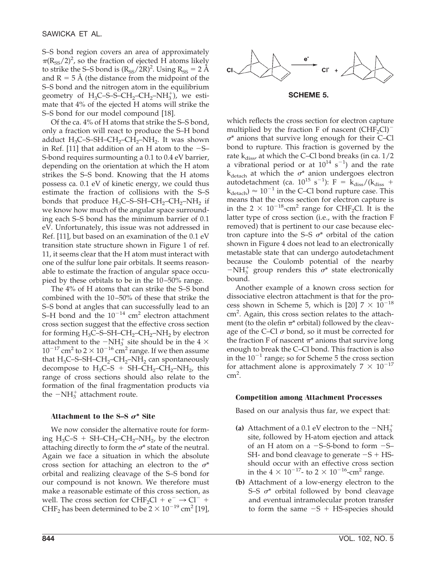S–S bond region covers an area of approximately  $\pi(R_{SS}/2)^2$ , so the fraction of ejected H atoms likely to strike the S–S bond is  $(R_{SS}/2R)^2$ . Using  $R_{SS} = 2 \text{ Å}$ and  $R = 5$  Å (the distance from the midpoint of the S–S bond and the nitrogen atom in the equilibrium geometry of  $H_3C$ –S–S– $CH_2$ – $CH_2$ – $NH_3^+$ ), we estimate that 4% of the ejected H atoms will strike the S–S bond for our model compound [18].

Of the ca. 4% of H atoms that strike the S–S bond, only a fraction will react to produce the S–H bond adduct  $H_3C$ –S–SH–CH<sub>2</sub>–CH<sub>2</sub>–NH<sub>2</sub>. It was shown in Ref. [11] that addition of an H atom to the  $-S-$ S-bond requires surmounting a 0.1 to 0.4 eV barrier, depending on the orientation at which the H atom strikes the S–S bond. Knowing that the H atoms possess ca. 0.1 eV of kinetic energy, we could thus estimate the fraction of collisions with the S–S bonds that produce  $H_3C$ –S–SH–CH<sub>2</sub>–CH<sub>2</sub>–NH<sub>2</sub> if we know how much of the angular space surrounding each S–S bond has the minimum barrier of 0.1 eV. Unfortunately, this issue was not addressed in Ref. [11], but based on an examination of the 0.1 eV transition state structure shown in Figure 1 of ref. 11, it seems clear that the H atom must interact with one of the sulfur lone pair orbitals. It seems reasonable to estimate the fraction of angular space occupied by these orbitals to be in the 10 –50% range.

The 4% of H atoms that can strike the S–S bond combined with the 10 –50% of these that strike the S–S bond at angles that can successfully lead to an S-H bond and the  $10^{-14}$  cm<sup>2</sup> electron attachment cross section suggest that the effective cross section for forming  $H_3C$ –S–SH–C $H_2$ –C $H_2$ –N $H_2$  by electron attachment to the  $-NH_3^+$  site should be in the 4  $\times$  $10^{-17}$  cm<sup>2</sup> to 2  $\times$  10<sup>-16</sup> cm<sup>2</sup> range. If we then assume that  $H_3C$ –S–SH–CH<sub>2</sub>–CH<sub>2</sub>–NH<sub>2</sub> can spontaneously decompose to  $H_3C-S + SH-CH_2-CH_2-NH_2$ , this range of cross sections should also relate to the formation of the final fragmentation products via the  $-NH_3^+$  attachment route.

#### Attachment to the  $S-S$   $\sigma^*$  Site

We now consider the alternative route for forming  $H_3C-S + SH-CH_2-CH_2-NH_2$ , by the electron attaching directly to form the  $\sigma^*$  state of the neutral. Again we face a situation in which the absolute cross section for attaching an electron to the  $\sigma^*$ orbital and realizing cleavage of the S–S bond for our compound is not known. We therefore must make a reasonable estimate of this cross section, as well. The cross section for  $CHF_2Cl + e^- \rightarrow Cl^- +$ CHF<sub>2</sub> has been determined to be  $2 \times 10^{-19}$  cm<sup>2</sup> [19],



#### **SCHEME 5.**

which reflects the cross section for electron capture multiplied by the fraction F of nascent  $(CHF_2Cl)^ \sigma^*$  anions that survive long enough for their C–Cl bond to rupture. This fraction is governed by the rate  $k_{diss}$ , at which the C–Cl bond breaks (in ca.  $1/2$ a vibrational period or at  $10^{14}$  s<sup>-1</sup>) and the rate  $k_{\text{detach}}$  at which the  $\sigma^*$  anion undergoes electron autodetachment (ca.  $10^{15}$  s<sup>-1</sup>): F =  $K_{\text{diss}}/(k_{\text{diss}} +$  $k_{\text{detach}}$ )  $\approx 10^{-1}$  in the C–Cl bond rupture case. This means that the cross section for electron capture is in the 2  $\times$  10<sup>-18</sup>-cm<sup>2</sup> range for CHF<sub>2</sub>Cl. It is the latter type of cross section (i.e., with the fraction F removed) that is pertinent to our case because electron capture into the S–S  $\sigma^*$  orbital of the cation shown in Figure 4 does not lead to an electronically metastable state that can undergo autodetachment because the Coulomb potential of the nearby  $-NH_3^+$  group renders this  $\sigma^*$  state electronically bound.

Another example of a known cross section for dissociative electron attachment is that for the process shown in Scheme 5, which is [20]  $7 \times 10^{-18}$ cm<sup>2</sup>. Again, this cross section relates to the attachment (to the olefin  $\pi^*$  orbital) followed by the cleavage of the C–Cl  $\sigma$  bond, so it must be corrected for the fraction F of nascent  $\pi^*$  anions that survive long enough to break the C–Cl bond. This fraction is also in the  $10^{-1}$  range; so for Scheme 5 the cross section for attachment alone is approximately  $7 \times 10^{-17}$  $cm<sup>2</sup>$ .

#### **Competition among Attachment Processes**

Based on our analysis thus far, we expect that:

- (a) Attachment of a 0.1 eV electron to the  $-NH_3^+$ site, followed by H-atom ejection and attack of an H atom on a -S–S-bond to form -S– SH- and bond cleavage to generate  $-S + HS$ should occur with an effective cross section in the  $4 \times 10^{-17}$ - to  $2 \times 10^{-16}$ -cm<sup>2</sup> range.
- **(b)** Attachment of a low-energy electron to the S–S  $\sigma^*$  orbital followed by bond cleavage and eventual intramolecular proton transfer to form the same  $-S + HS$ -species should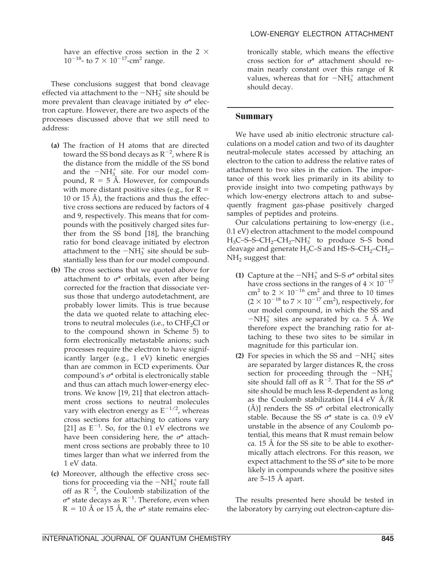have an effective cross section in the 2  $\times$  $10^{-18}$ - to  $7 \times 10^{-17}$ -cm<sup>2</sup> range.

These conclusions suggest that bond cleavage effected via attachment to the  $-NH_3^+$  site should be more prevalent than cleavage initiated by  $\sigma^*$  electron capture. However, there are two aspects of the processes discussed above that we still need to address:

- **(a)** The fraction of H atoms that are directed toward the SS bond decays as  $R^{-2}$ , where R is the distance from the middle of the SS bond and the  $-NH_{3}^+$  site. For our model compound,  $R = 5$  Å. However, for compounds with more distant positive sites (e.g., for  $R =$ 10 or 15 Å), the fractions and thus the effective cross sections are reduced by factors of 4 and 9, respectively. This means that for compounds with the positively charged sites further from the SS bond [18], the branching ratio for bond cleavage initiated by electron attachment to the  $-NH_3^+$  site should be substantially less than for our model compound.
- **(b)** The cross sections that we quoted above for attachment to  $\sigma^*$  orbitals, even after being corrected for the fraction that dissociate versus those that undergo autodetachment, are probably lower limits. This is true because the data we quoted relate to attaching electrons to neutral molecules (i.e., to  $CHF_2Cl$  or to the compound shown in Scheme 5) to form electronically metastable anions; such processes require the electron to have significantly larger (e.g., 1 eV) kinetic energies than are common in ECD experiments. Our compound's  $\sigma^*$  orbital is electronically stable and thus can attach much lower-energy electrons. We know [19, 21] that electron attachment cross sections to neutral molecules vary with electron energy as  $E^{-1/2}$ , whereas cross sections for attaching to cations vary [21] as  $E^{-1}$ . So, for the 0.1 eV electrons we have been considering here, the  $\sigma^*$  attachment cross sections are probably three to 10 times larger than what we inferred from the 1 eV data.
- **(c)** Moreover, although the effective cross sections for proceeding via the  $-NH_3^+$  route fall off as  $R^{-2}$ , the Coulomb stabilization of the  $\sigma^*$  state decays as  $\text{R}^{-1}$ . Therefore, even when  $R = 10 \text{ Å}$  or 15 Å, the  $\sigma^*$  state remains elec-

tronically stable, which means the effective cross section for  $\sigma^*$  attachment should remain nearly constant over this range of R values, whereas that for  $-NH_3^+$  attachment should decay.

## **Summary**

We have used ab initio electronic structure calculations on a model cation and two of its daughter neutral-molecule states accessed by attaching an electron to the cation to address the relative rates of attachment to two sites in the cation. The importance of this work lies primarily in its ability to provide insight into two competing pathways by which low-energy electrons attach to and subsequently fragment gas-phase positively charged samples of peptides and proteins.

Our calculations pertaining to low-energy (i.e., 0.1 eV) electron attachment to the model compound  $H_3C$ –S–S– $CH_2$ – $CH_2$ – $NH_3^+$  to produce S–S bond cleavage and generate  $H_3C$ –S and HS–S–C $H_2$ –C $H_2$ –  $NH<sub>2</sub>$  suggest that:

- **(1)** Capture at the  $-NH_3^+$  and S–S  $\sigma^*$  orbital sites have cross sections in the ranges of  $4 \times 10^{-17}$ cm<sup>2</sup> to  $2 \times 10^{-16}$  cm<sup>2</sup> and three to 10 times  $(2 \times 10^{-18}$  to  $7 \times 10^{-17}$  cm<sup>2</sup>), respectively, for our model compound, in which the SS and  $-NH_3^+$  sites are separated by ca. 5 Å. We therefore expect the branching ratio for attaching to these two sites to be similar in magnitude for this particular ion.
- (2) For species in which the SS and  $-NH_3^+$  sites are separated by larger distances R, the cross section for proceeding through the  $-NH_3^+$ site should fall off as  $R^{-2}$ . That for the SS  $\sigma^*$ site should be much less R-dependent as long as the Coulomb stabilization [14.4 eV  $\AA/R$ ] (Å)] renders the SS  $\sigma^*$  orbital electronically stable. Because the SS  $\sigma^*$  state is ca. 0.9 eV unstable in the absence of any Coulomb potential, this means that R must remain below ca. 15 Å for the SS site to be able to exothermically attach electrons. For this reason, we expect attachment to the SS  $\sigma^*$  site to be more likely in compounds where the positive sites are 5–15 Å apart.

The results presented here should be tested in the laboratory by carrying out electron-capture dis-